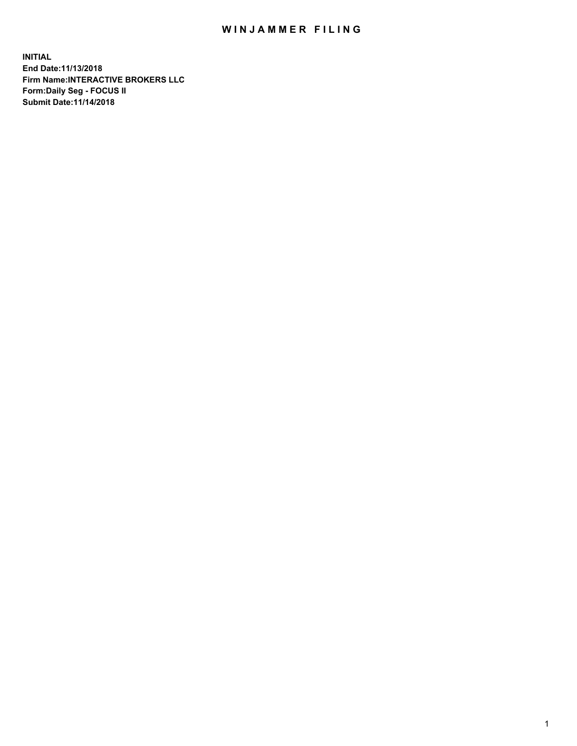## WIN JAMMER FILING

**INITIAL End Date:11/13/2018 Firm Name:INTERACTIVE BROKERS LLC Form:Daily Seg - FOCUS II Submit Date:11/14/2018**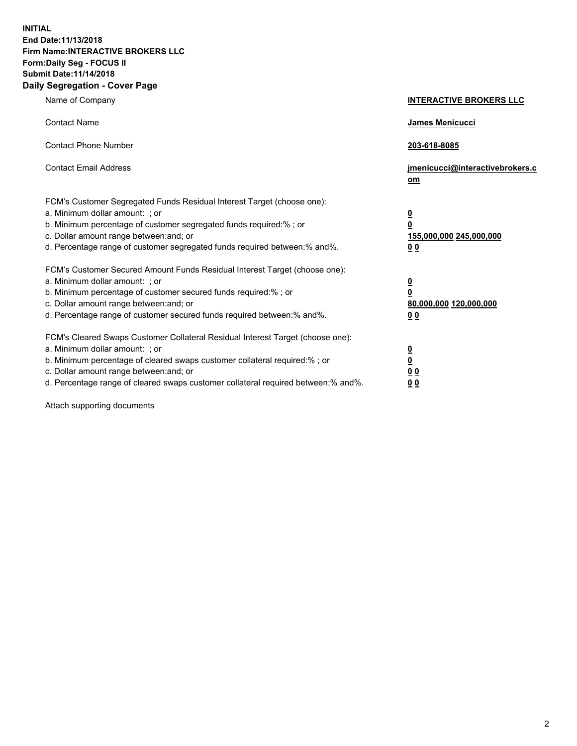**INITIAL End Date:11/13/2018 Firm Name:INTERACTIVE BROKERS LLC Form:Daily Seg - FOCUS II Submit Date:11/14/2018 Daily Segregation - Cover Page**

| Name of Company                                                                                                                                                                                                                                                                                                                | <b>INTERACTIVE BROKERS LLC</b>                                                                  |
|--------------------------------------------------------------------------------------------------------------------------------------------------------------------------------------------------------------------------------------------------------------------------------------------------------------------------------|-------------------------------------------------------------------------------------------------|
| <b>Contact Name</b>                                                                                                                                                                                                                                                                                                            | James Menicucci                                                                                 |
| <b>Contact Phone Number</b>                                                                                                                                                                                                                                                                                                    | 203-618-8085                                                                                    |
| <b>Contact Email Address</b>                                                                                                                                                                                                                                                                                                   | jmenicucci@interactivebrokers.c<br>om                                                           |
| FCM's Customer Segregated Funds Residual Interest Target (choose one):<br>a. Minimum dollar amount: ; or<br>b. Minimum percentage of customer segregated funds required:% ; or<br>c. Dollar amount range between: and; or<br>d. Percentage range of customer segregated funds required between:% and%.                         | $\overline{\mathbf{0}}$<br>$\overline{\mathbf{0}}$<br>155,000,000 245,000,000<br>0 <sub>0</sub> |
| FCM's Customer Secured Amount Funds Residual Interest Target (choose one):<br>a. Minimum dollar amount: ; or<br>b. Minimum percentage of customer secured funds required:%; or<br>c. Dollar amount range between: and; or<br>d. Percentage range of customer secured funds required between:% and%.                            | $\overline{\mathbf{0}}$<br>$\overline{\mathbf{0}}$<br>80,000,000 120,000,000<br>0 <sub>0</sub>  |
| FCM's Cleared Swaps Customer Collateral Residual Interest Target (choose one):<br>a. Minimum dollar amount: ; or<br>b. Minimum percentage of cleared swaps customer collateral required:% ; or<br>c. Dollar amount range between: and; or<br>d. Percentage range of cleared swaps customer collateral required between:% and%. | $\overline{\mathbf{0}}$<br>$\underline{\mathbf{0}}$<br>0 <sub>0</sub><br>0 <sub>0</sub>         |

Attach supporting documents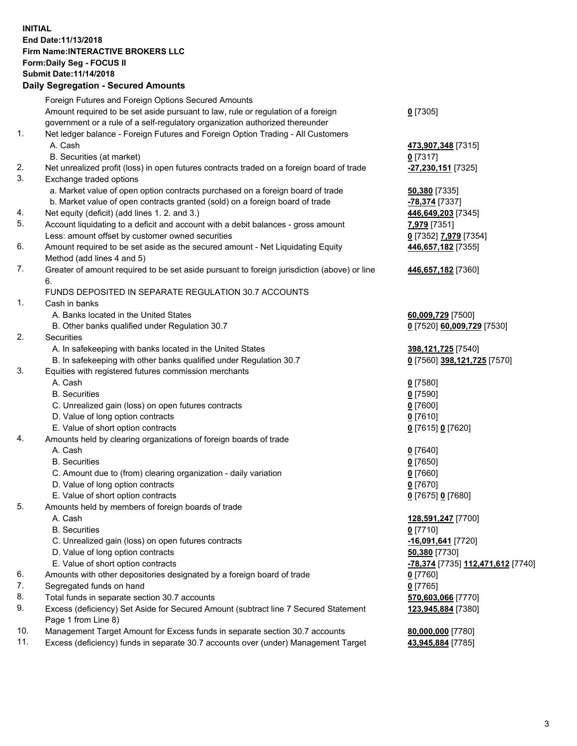## **INITIAL End Date:11/13/2018 Firm Name:INTERACTIVE BROKERS LLC Form:Daily Seg - FOCUS II Submit Date:11/14/2018 Daily Segregation - Secured Amounts**

|     | Dally Segregation - Secured Amounts                                                         |                                   |
|-----|---------------------------------------------------------------------------------------------|-----------------------------------|
|     | Foreign Futures and Foreign Options Secured Amounts                                         |                                   |
|     | Amount required to be set aside pursuant to law, rule or regulation of a foreign            | $0$ [7305]                        |
|     | government or a rule of a self-regulatory organization authorized thereunder                |                                   |
| 1.  | Net ledger balance - Foreign Futures and Foreign Option Trading - All Customers             |                                   |
|     | A. Cash                                                                                     | 473,907,348 [7315]                |
|     | B. Securities (at market)                                                                   | $0$ [7317]                        |
| 2.  | Net unrealized profit (loss) in open futures contracts traded on a foreign board of trade   | -27,230,151 [7325]                |
| 3.  | Exchange traded options                                                                     |                                   |
|     | a. Market value of open option contracts purchased on a foreign board of trade              | 50,380 [7335]                     |
|     | b. Market value of open contracts granted (sold) on a foreign board of trade                | -78,374 [7337]                    |
| 4.  | Net equity (deficit) (add lines 1. 2. and 3.)                                               | 446,649,203 [7345]                |
| 5.  | Account liquidating to a deficit and account with a debit balances - gross amount           | 7,979 [7351]                      |
|     | Less: amount offset by customer owned securities                                            | 0 [7352] 7,979 [7354]             |
| 6.  | Amount required to be set aside as the secured amount - Net Liquidating Equity              | 446,657,182 [7355]                |
|     | Method (add lines 4 and 5)                                                                  |                                   |
| 7.  | Greater of amount required to be set aside pursuant to foreign jurisdiction (above) or line | 446,657,182 [7360]                |
|     | 6.                                                                                          |                                   |
|     | FUNDS DEPOSITED IN SEPARATE REGULATION 30.7 ACCOUNTS                                        |                                   |
| 1.  | Cash in banks                                                                               |                                   |
|     | A. Banks located in the United States                                                       | 60,009,729 [7500]                 |
|     | B. Other banks qualified under Regulation 30.7                                              | 0 [7520] 60,009,729 [7530]        |
| 2.  | Securities                                                                                  |                                   |
|     | A. In safekeeping with banks located in the United States                                   | 398,121,725 [7540]                |
|     | B. In safekeeping with other banks qualified under Regulation 30.7                          | 0 [7560] 398,121,725 [7570]       |
| 3.  | Equities with registered futures commission merchants                                       |                                   |
|     | A. Cash                                                                                     | $0$ [7580]                        |
|     | <b>B.</b> Securities                                                                        | $0$ [7590]                        |
|     | C. Unrealized gain (loss) on open futures contracts                                         | $0$ [7600]                        |
|     | D. Value of long option contracts                                                           | $0$ [7610]                        |
|     | E. Value of short option contracts                                                          | 0 [7615] 0 [7620]                 |
| 4.  | Amounts held by clearing organizations of foreign boards of trade                           |                                   |
|     | A. Cash                                                                                     |                                   |
|     | <b>B.</b> Securities                                                                        | $0$ [7640]                        |
|     |                                                                                             | $0$ [7650]                        |
|     | C. Amount due to (from) clearing organization - daily variation                             | $0$ [7660]                        |
|     | D. Value of long option contracts                                                           | $0$ [7670]                        |
|     | E. Value of short option contracts                                                          | 0 [7675] 0 [7680]                 |
| 5.  | Amounts held by members of foreign boards of trade                                          |                                   |
|     | A. Cash                                                                                     | 128,591,247 [7700]                |
|     | <b>B.</b> Securities                                                                        | $0$ [7710]                        |
|     | C. Unrealized gain (loss) on open futures contracts                                         | -16,091,641 [7720]                |
|     | D. Value of long option contracts                                                           | 50,380 [7730]                     |
|     | E. Value of short option contracts                                                          | -78,374 [7735] 112,471,612 [7740] |
| 6.  | Amounts with other depositories designated by a foreign board of trade                      | $0$ [7760]                        |
| 7.  | Segregated funds on hand                                                                    | $0$ [7765]                        |
| 8.  | Total funds in separate section 30.7 accounts                                               | 570,603,066 [7770]                |
| 9.  | Excess (deficiency) Set Aside for Secured Amount (subtract line 7 Secured Statement         | 123,945,884 [7380]                |
|     | Page 1 from Line 8)                                                                         |                                   |
| 10. | Management Target Amount for Excess funds in separate section 30.7 accounts                 | 80,000,000 [7780]                 |
| 11. | Excess (deficiency) funds in separate 30.7 accounts over (under) Management Target          | 43,945,884 [7785]                 |
|     |                                                                                             |                                   |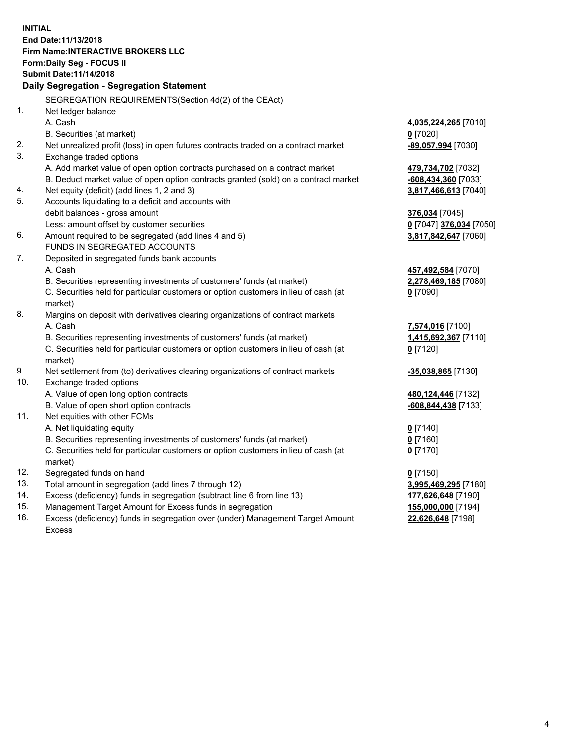**INITIAL End Date:11/13/2018 Firm Name:INTERACTIVE BROKERS LLC Form:Daily Seg - FOCUS II Submit Date:11/14/2018 Daily Segregation - Segregation Statement** SEGREGATION REQUIREMENTS(Section 4d(2) of the CEAct) 1. Net ledger balance A. Cash **4,035,224,265** [7010] B. Securities (at market) **0** [7020] 2. Net unrealized profit (loss) in open futures contracts traded on a contract market **-89,057,994** [7030] 3. Exchange traded options A. Add market value of open option contracts purchased on a contract market **479,734,702** [7032] B. Deduct market value of open option contracts granted (sold) on a contract market **-608,434,360** [7033] 4. Net equity (deficit) (add lines 1, 2 and 3) **3,817,466,613** [7040] 5. Accounts liquidating to a deficit and accounts with debit balances - gross amount **376,034** [7045] Less: amount offset by customer securities **0** [7047] **376,034** [7050] 6. Amount required to be segregated (add lines 4 and 5) **3,817,842,647** [7060] FUNDS IN SEGREGATED ACCOUNTS 7. Deposited in segregated funds bank accounts A. Cash **457,492,584** [7070] B. Securities representing investments of customers' funds (at market) **2,278,469,185** [7080] C. Securities held for particular customers or option customers in lieu of cash (at market) **0** [7090] 8. Margins on deposit with derivatives clearing organizations of contract markets A. Cash **7,574,016** [7100] B. Securities representing investments of customers' funds (at market) **1,415,692,367** [7110] C. Securities held for particular customers or option customers in lieu of cash (at market) **0** [7120] 9. Net settlement from (to) derivatives clearing organizations of contract markets **-35,038,865** [7130] 10. Exchange traded options A. Value of open long option contracts **480,124,446** [7132] B. Value of open short option contracts **-608,844,438** [7133] 11. Net equities with other FCMs A. Net liquidating equity **0** [7140] B. Securities representing investments of customers' funds (at market) **0** [7160] C. Securities held for particular customers or option customers in lieu of cash (at market) **0** [7170] 12. Segregated funds on hand **0** [7150] 13. Total amount in segregation (add lines 7 through 12) **3,995,469,295** [7180] 14. Excess (deficiency) funds in segregation (subtract line 6 from line 13) **177,626,648** [7190] 15. Management Target Amount for Excess funds in segregation **155,000,000** [7194]

16. Excess (deficiency) funds in segregation over (under) Management Target Amount Excess

**22,626,648** [7198]